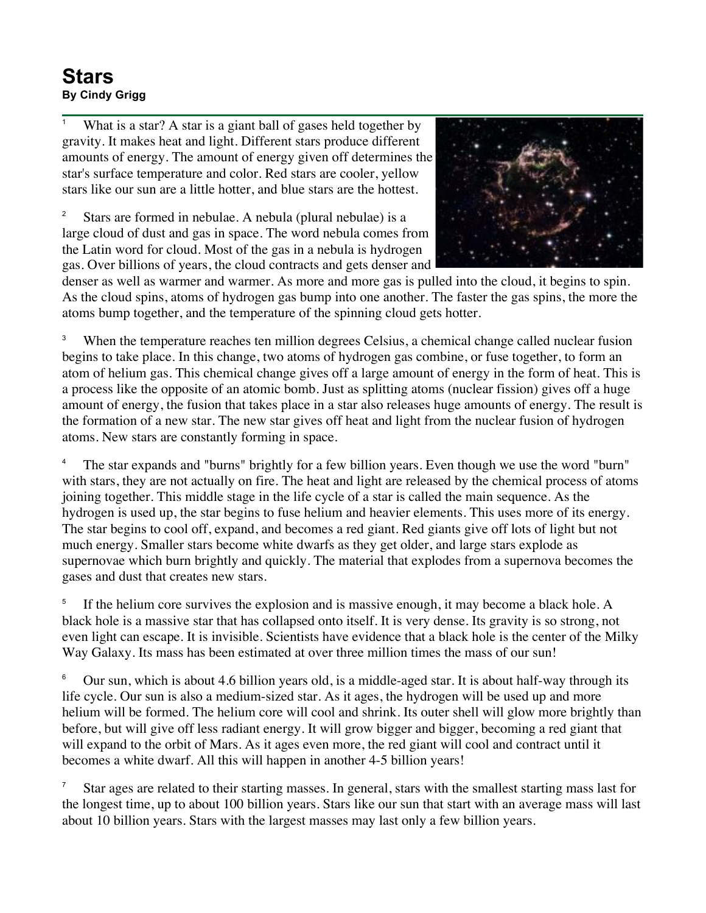## **Stars By Cindy Grigg**

What is a star? A star is a giant ball of gases held together by gravity. It makes heat and light. Different stars produce different amounts of energy. The amount of energy given off determines the star's surface temperature and color. Red stars are cooler, yellow stars like our sun are a little hotter, and blue stars are the hottest.

<sup>2</sup> Stars are formed in nebulae. A nebula (plural nebulae) is a large cloud of dust and gas in space. The word nebula comes from the Latin word for cloud. Most of the gas in a nebula is hydrogen gas. Over billions of years, the cloud contracts and gets denser and



denser as well as warmer and warmer. As more and more gas is pulled into the cloud, it begins to spin. As the cloud spins, atoms of hydrogen gas bump into one another. The faster the gas spins, the more the atoms bump together, and the temperature of the spinning cloud gets hotter.

<sup>3</sup> When the temperature reaches ten million degrees Celsius, a chemical change called nuclear fusion begins to take place. In this change, two atoms of hydrogen gas combine, or fuse together, to form an atom of helium gas. This chemical change gives off a large amount of energy in the form of heat. This is a process like the opposite of an atomic bomb. Just as splitting atoms (nuclear fission) gives off a huge amount of energy, the fusion that takes place in a star also releases huge amounts of energy. The result is the formation of a new star. The new star gives off heat and light from the nuclear fusion of hydrogen atoms. New stars are constantly forming in space.

<sup>4</sup> The star expands and "burns" brightly for a few billion years. Even though we use the word "burn" with stars, they are not actually on fire. The heat and light are released by the chemical process of atoms joining together. This middle stage in the life cycle of a star is called the main sequence. As the hydrogen is used up, the star begins to fuse helium and heavier elements. This uses more of its energy. The star begins to cool off, expand, and becomes a red giant. Red giants give off lots of light but not much energy. Smaller stars become white dwarfs as they get older, and large stars explode as supernovae which burn brightly and quickly. The material that explodes from a supernova becomes the gases and dust that creates new stars.

If the helium core survives the explosion and is massive enough, it may become a black hole. A black hole is a massive star that has collapsed onto itself. It is very dense. Its gravity is so strong, not even light can escape. It is invisible. Scientists have evidence that a black hole is the center of the Milky Way Galaxy. Its mass has been estimated at over three million times the mass of our sun!

 $6$  Our sun, which is about 4.6 billion years old, is a middle-aged star. It is about half-way through its life cycle. Our sun is also a medium-sized star. As it ages, the hydrogen will be used up and more helium will be formed. The helium core will cool and shrink. Its outer shell will glow more brightly than before, but will give off less radiant energy. It will grow bigger and bigger, becoming a red giant that will expand to the orbit of Mars. As it ages even more, the red giant will cool and contract until it becomes a white dwarf. All this will happen in another 4-5 billion years!

<sup>7</sup> Star ages are related to their starting masses. In general, stars with the smallest starting mass last for the longest time, up to about 100 billion years. Stars like our sun that start with an average mass will last about 10 billion years. Stars with the largest masses may last only a few billion years.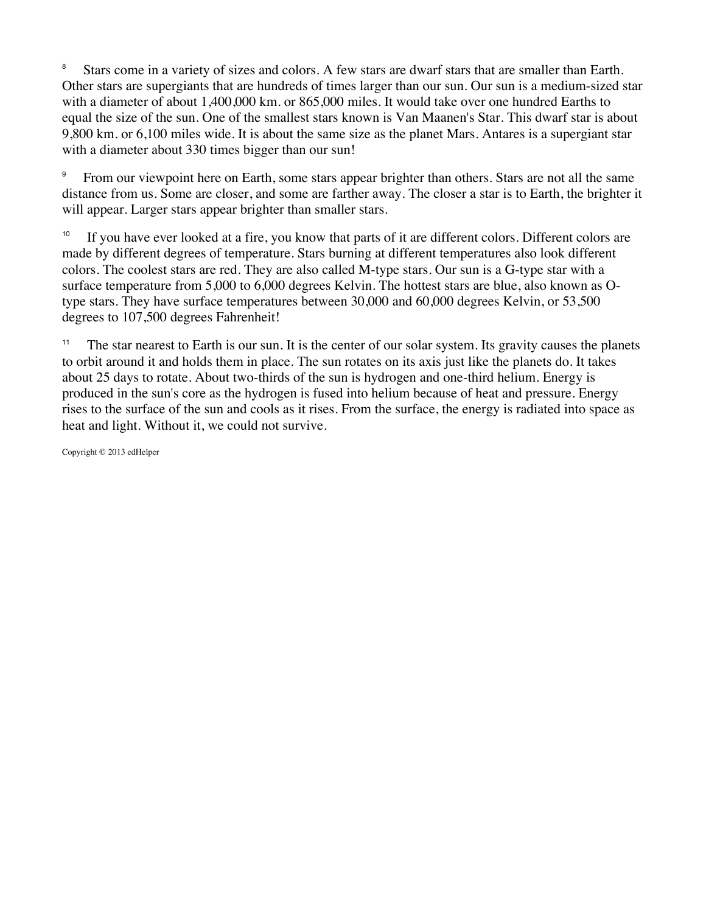Stars come in a variety of sizes and colors. A few stars are dwarf stars that are smaller than Earth. Other stars are supergiants that are hundreds of times larger than our sun. Our sun is a medium-sized star with a diameter of about 1,400,000 km. or 865,000 miles. It would take over one hundred Earths to equal the size of the sun. One of the smallest stars known is Van Maanen's Star. This dwarf star is about 9,800 km. or 6,100 miles wide. It is about the same size as the planet Mars. Antares is a supergiant star with a diameter about 330 times bigger than our sun!

<sup>9</sup> From our viewpoint here on Earth, some stars appear brighter than others. Stars are not all the same distance from us. Some are closer, and some are farther away. The closer a star is to Earth, the brighter it will appear. Larger stars appear brighter than smaller stars.

If you have ever looked at a fire, you know that parts of it are different colors. Different colors are made by different degrees of temperature. Stars burning at different temperatures also look different colors. The coolest stars are red. They are also called M-type stars. Our sun is a G-type star with a surface temperature from 5,000 to 6,000 degrees Kelvin. The hottest stars are blue, also known as Otype stars. They have surface temperatures between 30,000 and 60,000 degrees Kelvin, or 53,500 degrees to 107,500 degrees Fahrenheit!

<sup>11</sup> The star nearest to Earth is our sun. It is the center of our solar system. Its gravity causes the planets to orbit around it and holds them in place. The sun rotates on its axis just like the planets do. It takes about 25 days to rotate. About two-thirds of the sun is hydrogen and one-third helium. Energy is produced in the sun's core as the hydrogen is fused into helium because of heat and pressure. Energy rises to the surface of the sun and cools as it rises. From the surface, the energy is radiated into space as heat and light. Without it, we could not survive.

Copyright © 2013 edHelper